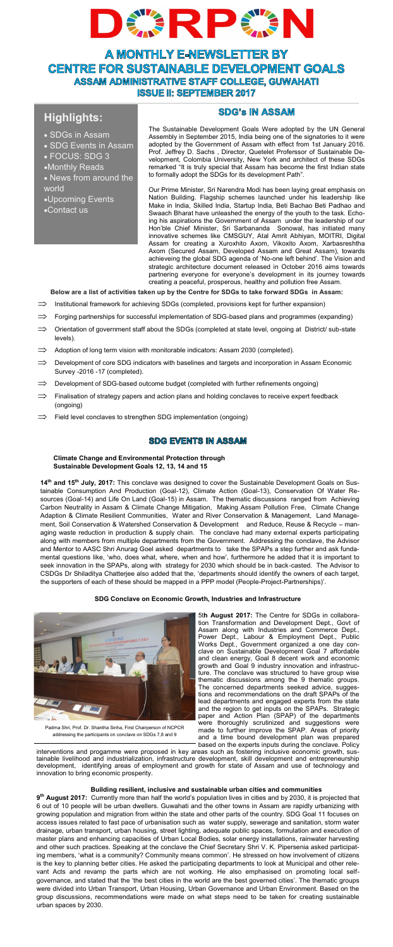

**A MONTHLY E-NEWSLETTER BY CENTRE FOR SUSTAINABLE DEVELOPMENT GOALS ASSAM ADMINISTRATIVE STAFF COLLEGE, GUWAHATI ISSUE II: SEPTEMBER 2017** 

# **Highlights:**

- SDGs in Assam
- SDG Events in Assam
- FOCUS: SDG 3
- •Monthly Reads
- News from around the world
- •Upcoming Events
- •Contact us

The Sustainable Development Goals Were adopted by the UN General Assembly in September 2015, India being one of the signatories to it were adopted by the Government of Assam with effect from 1st January 2016. Prof. Jeffrey D. Sachs , Director, Quetelet Proferssor of Sustainable Development, Colombia University, New York and architect of these SDGs remarked "It is truly special that Assam has become the first Indian state to formally adopt the SDGs for its development Path".

**SDG's IN ASSAM** 

Our Prime Minister, Sri Narendra Modi has been laying great emphasis on Nation Building. Flagship schemes launched under his leadership like Make in India, Skilled India, Startup India, Beti Bachao Beti Padhao and Swaach Bharat have unleashed the energy of the youth to the task. Echoing his aspirations the Government of Assam under the leadership of our Hon'ble Chief Minister, Sri Sarbananda Sonowal, has initiated many innovative schemes like CMSGUY, Atal Amrit Abhiyan, MOITRI, Digital Assam for creating a Xuroxhito Axom, Vikoxito Axom, Xarbasreshtha Axom (Secured Assam, Developed Assam and Great Assam), towards achieveing the global SDG agenda of 'No-one left behind'. The Vision and strategic architecture document released in October 2016 aims towards partnering everyone for everyone's development in its journey towards creating a peaceful, prosperous, healthy and pollution free Assam.

**Below are a list of activities taken up by the Centre for SDGs to take forward SDGs in Assam:**

- Institutional framework for achieving SDGs (completed, provisions kept for further expansion)
- $\Rightarrow$  Forging partnerships for successful implementation of SDG-based plans and programmes (expanding)
- $\implies$  Orientation of government staff about the SDGs (completed at state level, ongoing at District/ sub-state levels).
- Adoption of long term vision with monitorable indicators: Assam 2030 (completed).
- Development of core SDG indicators with baselines and targets and incorporation in Assam Economic Survey -2016 -17 (completed).
- $\implies$  Development of SDG-based outcome budget (completed with further refinements ongoing)
- Finalisation of strategy papers and action plans and holding conclaves to receive expert feedback (ongoing)
- Field level conclaves to strengthen SDG implementation (ongoing)

# **SDG EVENTS IN ASSAM**

**Climate Change and Environmental Protection through Sustainable Development Goals 12, 13, 14 and 15**

**14th and 15th July, 2017:** This conclave was designed to cover the Sustainable Development Goals on Sustainable Consumption And Production (Goal-12), Climate Action (Goal-13), Conservation Of Water Resources (Goal-14) and Life On Land (Goal-15) in Assam.The thematic discussions ranged from Achieving Carbon Neutrality in Assam & Climate Change Mitigation, Making Assam Pollution Free, Climate Change Adaption & Climate Resilient Communities, Water and River Conservation & Management, Land Manage-<br>ment, Soil Conservation & Watershed Conservation & Development and Reduce, Reuse & Recycle – manment, Soil Conservation & Watershed Conservation & Development aging waste reduction in production & supply chain. The conclave had many external experts participating along with members from multiple departments from the Government. Addressing the conclave, the Advisor and Mentor to AASC Shri Anurag Goel asked departments to take the SPAPs a step further and ask fundamental questions like, 'who, does what, where, when and how', furthermore he added that it is important to seek innovation in the SPAPs, along with strategy for 2030 which should be in back-casted. The Advisor to CSDGs Dr Shiladitya Chatterjee also added that the, 'departments should identify the owners of each target, the supporters of each of these should be mapped in a PPP model (People-Project-Partnerships)'.

**SDG Conclave on Economic Growth, Industries and Infrastructure** 



Padma Shri, Prof. Dr. Shantha Sinha, First Chairperson of NCPCR addressing the participants on conclave on SDGs 7,8 and 9

Stin August 2017: The Centre for SDGs in collaboration and Development Dept., LGovt Assam along with Industries and Commerce Dept., The consistent and development Coal 7 affordable and development Coal 7 affordable growth

development, identifying areas of employment and growth for state of Assam and use of technology and innovation to bring economic prosperity.

# **Building resilient, inclusive and sustainable urban cities and communities**

**9 th August 2017:** Currently more than half the world's population lives in cities and by 2030, it is projected that 6 out of 10 people will be urban dwellers. Guwahati and the other towns in Assam are rapidly urbanizing with growing population and migration from within the state and other parts of the country. SDG Goal 11 focuses on access issues related to fast pace of urbanisation such as water supply, sewerage and sanitation, storm water drainage, urban transport, urban housing, street lighting, adequate public spaces, formulation and execution of master plans and enhancing capacities of Urban Local Bodies, solar energy installations, rainwater harvesting and other such practices. Speaking at the conclave the Chief Secretary Shri V. K. Pipersenia asked participating members, 'what is a community? Community means common'. He stressed on how involvement of citizens is the key to planning better cities. He asked the participating departments to look at Municipal and other relevant Acts and revamp the parts which are not working. He also emphasised on promoting local selfgovernance, and stated that the 'the best cities in the world are the best governed cities'. The thematic groups were divided into Urban Transport, Urban Housing, Urban Governance and Urban Environment. Based on the group discussions, recommendations were made on what steps need to be taken for creating sustainable urban spaces by 2030.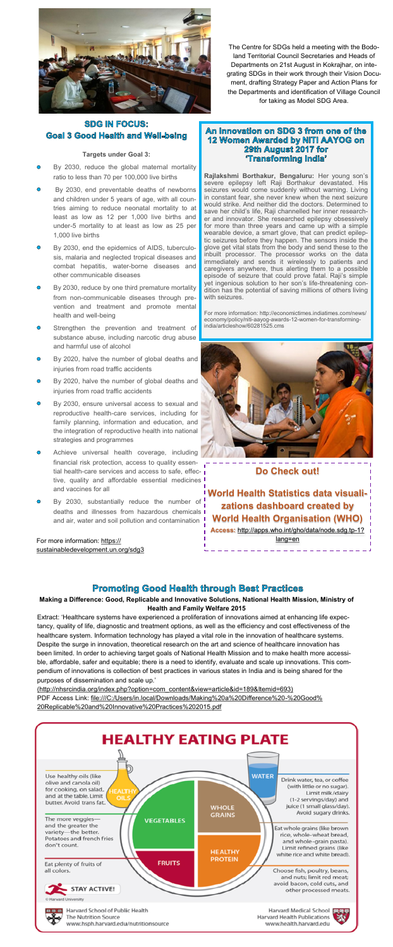

# **SDG IN FOCUS: Goal 3 Good Health and Well-being**

## **Targets under Goal 3:**

- By 2030, reduce the global maternal mortality ratio to less than 70 per 100,000 live births
- By 2030, end preventable deaths of newborns and children under 5 years of age, with all countries aiming to reduce neonatal mortality to at least as low as 12 per 1,000 live births and under-5 mortality to at least as low as 25 per 1,000 live births
- By 2030, end the epidemics of AIDS, tuberculo- $\bullet$ sis, malaria and neglected tropical diseases and combat hepatitis, water-borne diseases and other communicable diseases
- By 2030, reduce by one third premature mortality from non-communicable diseases through prevention and treatment and promote mental health and well-being
- $\ddot{\mathbf{O}}$ Strengthen the prevention and treatment of substance abuse, including narcotic drug abuse and harmful use of alcohol
- $\triangle$ By 2020, halve the number of global deaths and injuries from road traffic accidents
- By 2020, halve the number of global deaths and  $\ddot{\mathbf{O}}$ injuries from road traffic accidents
- By 2030, ensure universal access to sexual and  $\ddot{\bullet}$ reproductive health-care services, including for family planning, information and education, and the integration of reproductive health into national strategies and programmes
- Achieve universal health coverage, including  $\bullet$ financial risk protection, access to quality essential health-care services and access to safe, effective, quality and affordable essential medicines and vaccines for all
- By 2030, substantially reduce the number of deaths and illnesses from hazardous chemicals and air, water and soil pollution and contamination

For more information: [https://](https://sustainabledevelopment.un.org/sdg3) [sustainabledevelopment.un.org/sdg3](https://sustainabledevelopment.un.org/sdg3)

The Centre for SDGs held a meeting with the Bodoland Territorial Council Secretaries and Heads of Departments on 21st August in Kokrajhar, on integrating SDGs in their work through their Vision Document, drafting Strategy Paper and Action Plans for the Departments and identification of Village Council for taking as Model SDG Area.

# An Innovation on SDG 3 from one of the 12 Women Awarded by NITI AAYOG on<br>12 Women Awarded by NITI AAYOG on **Transforming India**

Rajlakshmi Borthakur, Bengaluru: Her young son's<br>severe epilepsy left Raji Borthakur devastated. His<br>seizures would come suddenly without warning. Living<br>in constant fear, she never knew when the next seizure<br>uould strike. for more than three years and came up with a simple wearable device, a smart glove, that can predict epilep-tic seizures before they happen. The sensors inside the glove get vital stats from the body and send these to the inbuilt processor. The processor works on the data<br>immediately and sends it wirelessly to patients and<br>caregivers anywhere, thus alerting them to a possible<br>episode of seizure that could prove fatal. Raji's simple<br>yet inge dition has the<br>with seizures

For more information: http://economictimes.indiatimes.com/news/ economy/policy/niti-aayog-awards-12-women-for-transforming-india/articleshow/60281525.cms



**Do Check out!**

**World Health Statistics data visualizations dashboard created by World Health Organisation (WHO) Access:** [http://apps.who.int/gho/data/node.sdg.tp](http://apps.who.int/gho/data/node.sdg.tp-1?lang=en)-1? [lang=en](http://apps.who.int/gho/data/node.sdg.tp-1?lang=en)

**Promoting Good Health through Best Practices Making a Difference: Good, Replicable and Innovative Solutions, National Health Mission, Ministry of Health and Family Welfare 2015** 

Extract: 'Healthcare systems have experienced a proliferation of innovations aimed at enhancing life expectancy, quality of life, diagnostic and treatment options, as well as the efficiency and cost effectiveness of the healthcare system. Information technology has played a vital role in the innovation of healthcare systems. Despite the surge in innovation, theoretical research on the art and science of healthcare innovation has been limited. In order to achieving target goals of National Health Mission and to make health more accessible, affordable, safer and equitable; there is a need to identify, evaluate and scale up innovations. This compendium of innovations is collection of best practices in various states in India and is being shared for the purposes of dissemination and scale up.'

[\(http://nhsrcindia.org/index.php?option=com\\_content&view=article&id=189&Itemid=693\)]((http:/nhsrcindia.org/index.php?option=com_content&view=article&id=189&Itemid=693)) PDF Access Link: [file:///C:/Users/in.local/Downloads/Making%20a%20Difference%20](C:/Users/in.local/Downloads/Making a Difference - Good Replicable and Innovative Practices 2015.pdf)-%20Good% [20Replicable%20and%20Innovative%20Practices%202015.pdf](C:/Users/in.local/Downloads/Making a Difference - Good Replicable and Innovative Practices 2015.pdf)